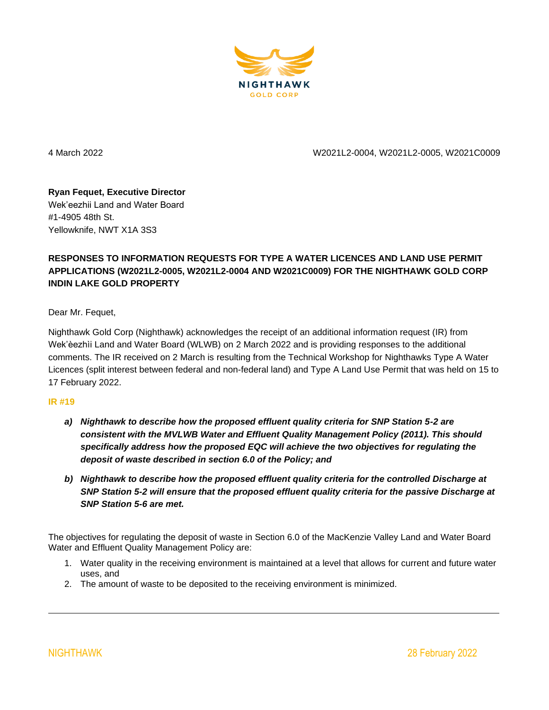

4 March 2022 W2021L2-0004, W2021L2-0005, W2021C0009

## **Ryan Fequet, Executive Director** Wek'eezhii Land and Water Board #1-4905 48th St. Yellowknife, NWT X1A 3S3

## **RESPONSES TO INFORMATION REQUESTS FOR TYPE A WATER LICENCES AND LAND USE PERMIT APPLICATIONS (W2021L2-0005, W2021L2-0004 AND W2021C0009) FOR THE NIGHTHAWK GOLD CORP INDIN LAKE GOLD PROPERTY**

Dear Mr. Fequet,

Nighthawk Gold Corp (Nighthawk) acknowledges the receipt of an additional information request (IR) from Wek'èezhìi Land and Water Board (WLWB) on 2 March 2022 and is providing responses to the additional comments. The IR received on 2 March is resulting from the Technical Workshop for Nighthawks Type A Water Licences (split interest between federal and non-federal land) and Type A Land Use Permit that was held on 15 to 17 February 2022.

## **IR #19**

- *a) Nighthawk to describe how the proposed effluent quality criteria for SNP Station 5-2 are consistent with the MVLWB Water and Effluent Quality Management Policy (2011). This should specifically address how the proposed EQC will achieve the two objectives for regulating the deposit of waste described in section 6.0 of the Policy; and*
- *b) Nighthawk to describe how the proposed effluent quality criteria for the controlled Discharge at SNP Station 5-2 will ensure that the proposed effluent quality criteria for the passive Discharge at SNP Station 5-6 are met.*

The objectives for regulating the deposit of waste in Section 6.0 of the MacKenzie Valley Land and Water Board Water and Effluent Quality Management Policy are:

- 1. Water quality in the receiving environment is maintained at a level that allows for current and future water uses, and
- 2. The amount of waste to be deposited to the receiving environment is minimized.